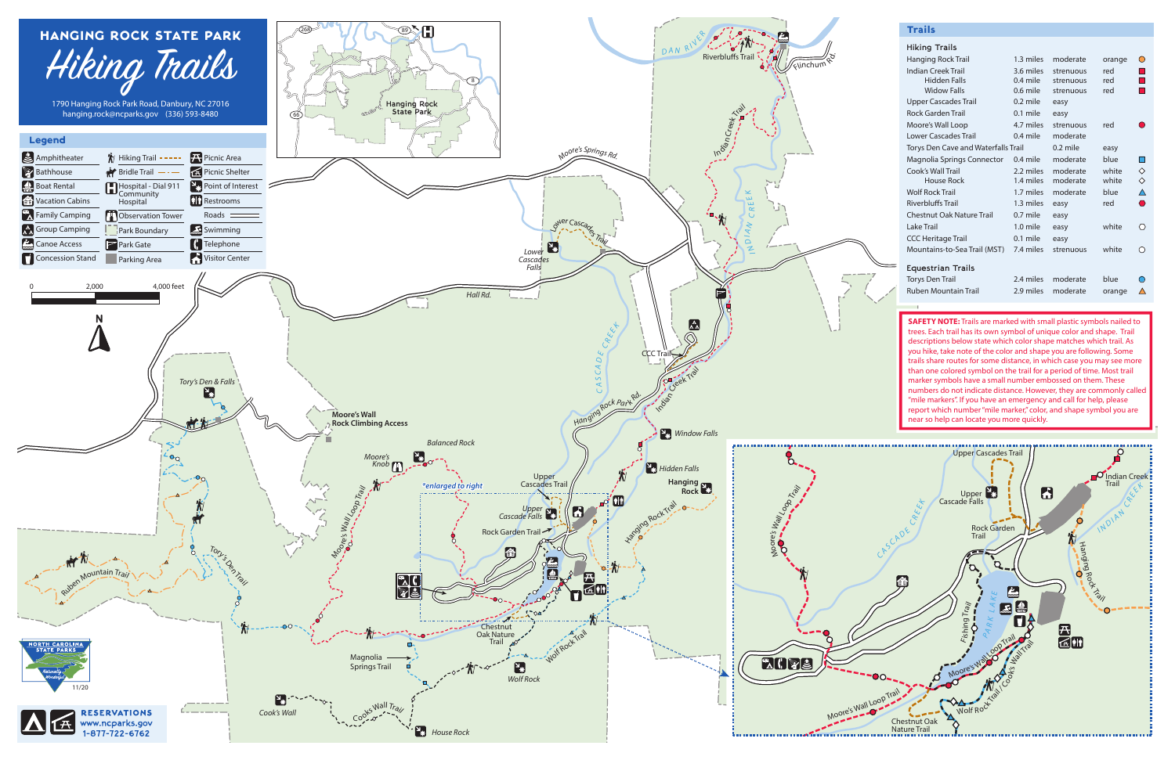

| Hiking Trails                              |            |            |        |            |
|--------------------------------------------|------------|------------|--------|------------|
| Hanging Rock Trail                         | 1.3 miles  | moderate   | orange | ∩          |
| Indian Creek Trail                         | 3.6 miles  | strenuous  | red    |            |
| <b>Hidden Falls</b>                        | $0.4$ mile | strenuous  | red    |            |
| <b>Widow Falls</b>                         | $0.6$ mile | strenuous  | red    |            |
| <b>Upper Cascades Trail</b>                | $0.2$ mile | easy       |        |            |
| <b>Rock Garden Trail</b>                   | $0.1$ mile | easy       |        |            |
| Moore's Wall Loop                          | 4.7 miles  | strenuous  | red    |            |
| <b>Lower Cascades Trail</b>                | $0.4$ mile | moderate   |        |            |
| <b>Torys Den Cave and Waterfalls Trail</b> |            | $0.2$ mile | easy   |            |
| Magnolia Springs Connector                 | $0.4$ mile | moderate   | blue   |            |
| Cook's Wall Trail                          | 2.2 miles  | moderate   | white  | $\Diamond$ |
| House Rock                                 | 1.4 miles  | moderate   | white  | $\diamond$ |
| <b>Wolf Rock Trail</b>                     | 1.7 miles  | moderate   | blue   | Λ          |
| <b>Riverbluffs Trail</b>                   | 1.3 miles  | easy       | red    | ⌒          |
| <b>Chestnut Oak Nature Trail</b>           | $0.7$ mile | easy       |        |            |
| Lake Trail                                 | 1.0 mile   | easy       | white  | $\bigcirc$ |
| <b>CCC Heritage Trail</b>                  | 0.1 mile   | easy       |        |            |
| Mountains-to-Sea Trail (MST)               | 7.4 miles  | strenuous  | white  |            |
| <b>Equestrian Trails</b>                   |            |            |        |            |
| <b>Torys Den Trail</b>                     | 2.4 miles  | moderate   | blue   |            |
| <b>Ruben Mountain Trail</b>                | 2.9 miles  | moderate   | orange | Λ          |